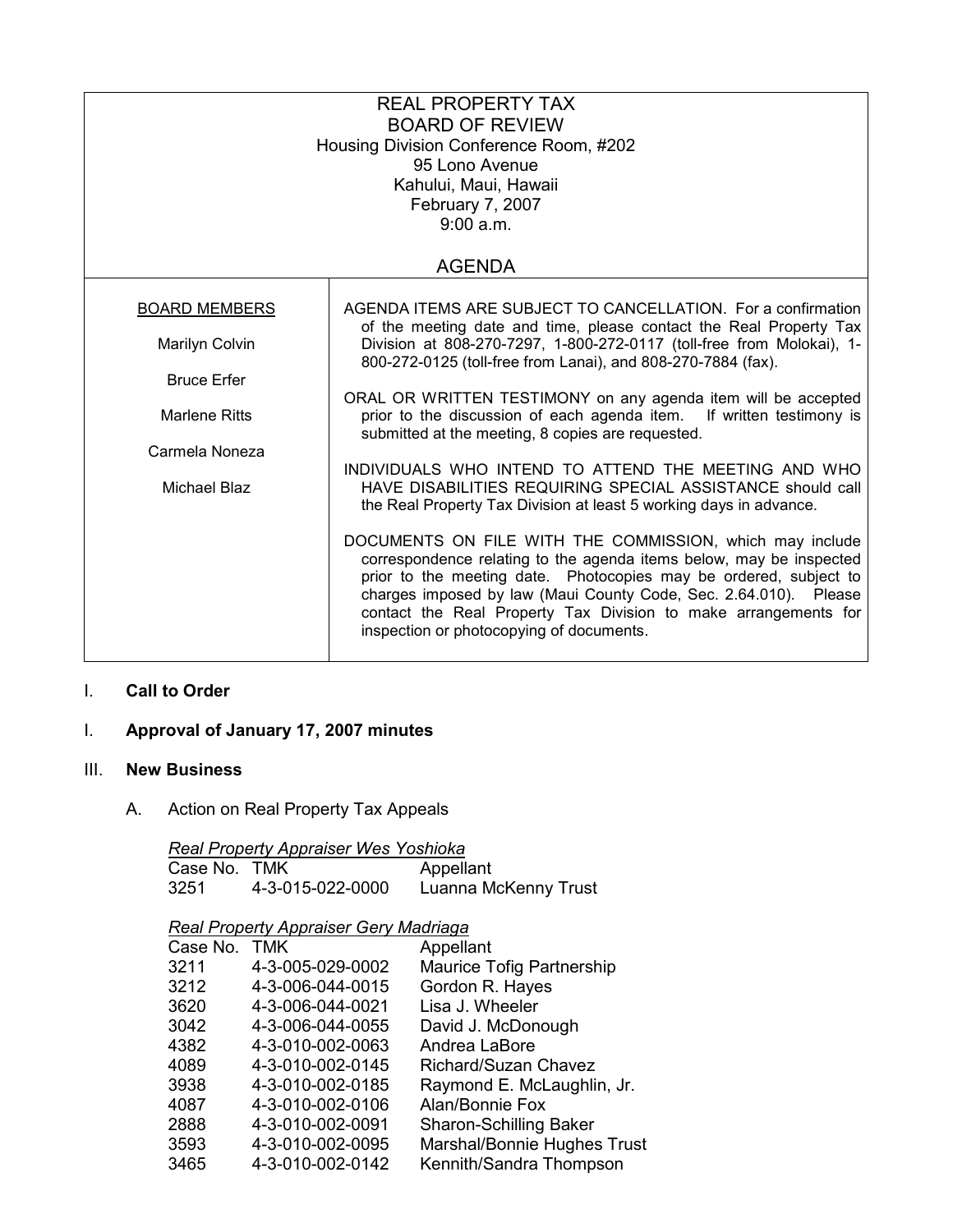| <b>REAL PROPERTY TAX</b><br><b>BOARD OF REVIEW</b><br>Housing Division Conference Room, #202<br>95 Lono Avenue<br>Kahului, Maui, Hawaii<br>February 7, 2007<br>9:00 a.m. |                                                                                                                                                                                                                                                                                                                                                                                         |  |  |  |
|--------------------------------------------------------------------------------------------------------------------------------------------------------------------------|-----------------------------------------------------------------------------------------------------------------------------------------------------------------------------------------------------------------------------------------------------------------------------------------------------------------------------------------------------------------------------------------|--|--|--|
| <b>AGENDA</b>                                                                                                                                                            |                                                                                                                                                                                                                                                                                                                                                                                         |  |  |  |
| <b>BOARD MEMBERS</b>                                                                                                                                                     | AGENDA ITEMS ARE SUBJECT TO CANCELLATION. For a confirmation                                                                                                                                                                                                                                                                                                                            |  |  |  |
| Marilyn Colvin                                                                                                                                                           | of the meeting date and time, please contact the Real Property Tax<br>Division at 808-270-7297, 1-800-272-0117 (toll-free from Molokai), 1-<br>800-272-0125 (toll-free from Lanai), and 808-270-7884 (fax).                                                                                                                                                                             |  |  |  |
| <b>Bruce Erfer</b>                                                                                                                                                       |                                                                                                                                                                                                                                                                                                                                                                                         |  |  |  |
| <b>Marlene Ritts</b>                                                                                                                                                     | ORAL OR WRITTEN TESTIMONY on any agenda item will be accepted<br>prior to the discussion of each agenda item. If written testimony is<br>submitted at the meeting, 8 copies are requested.                                                                                                                                                                                              |  |  |  |
| Carmela Noneza                                                                                                                                                           | INDIVIDUALS WHO INTEND TO ATTEND THE MEETING AND WHO                                                                                                                                                                                                                                                                                                                                    |  |  |  |
| Michael Blaz                                                                                                                                                             | HAVE DISABILITIES REQUIRING SPECIAL ASSISTANCE should call<br>the Real Property Tax Division at least 5 working days in advance.                                                                                                                                                                                                                                                        |  |  |  |
|                                                                                                                                                                          | DOCUMENTS ON FILE WITH THE COMMISSION, which may include<br>correspondence relating to the agenda items below, may be inspected<br>prior to the meeting date. Photocopies may be ordered, subject to<br>charges imposed by law (Maui County Code, Sec. 2.64.010). Please<br>contact the Real Property Tax Division to make arrangements for<br>inspection or photocopying of documents. |  |  |  |

## I. Call to Order

# I. Approval of January 17, 2007 minutes

### III. New Business

A. Action on Real Property Tax Appeals

|                                       | <b>Real Property Appraiser Wes Yoshioka</b> |                            |  |  |  |
|---------------------------------------|---------------------------------------------|----------------------------|--|--|--|
| Case No. TMK                          |                                             | Appellant                  |  |  |  |
| 3251                                  | 4-3-015-022-0000                            | Luanna McKenny Trust       |  |  |  |
| Real Property Appraiser Gery Madriaga |                                             |                            |  |  |  |
| Case No. TMK                          |                                             | Appellant                  |  |  |  |
| 3211                                  | 4-3-005-029-0002                            | Maurice Tofig Partnership  |  |  |  |
| 3212                                  | 4-3-006-044-0015                            | Gordon R. Hayes            |  |  |  |
| 3620                                  | 4-3-006-044-0021                            | Lisa J. Wheeler            |  |  |  |
| 3042                                  | 4-3-006-044-0055                            | David J. McDonough         |  |  |  |
| 4382                                  | 4-3-010-002-0063                            | Andrea LaBore              |  |  |  |
| 4089                                  | 4-3-010-002-0145                            | Richard/Suzan Chavez       |  |  |  |
| 3938                                  | 4-3-010-002-0185                            | Raymond E. McLaughlin, Jr. |  |  |  |

 3593 4-3-010-002-0095 Marshal/Bonnie Hughes Trust 3465 4-3-010-002-0142 Kennith/Sandra Thompson

Sharon-Schilling Baker

4087 4-3-010-002-0106 Alan/Bonnie Fox